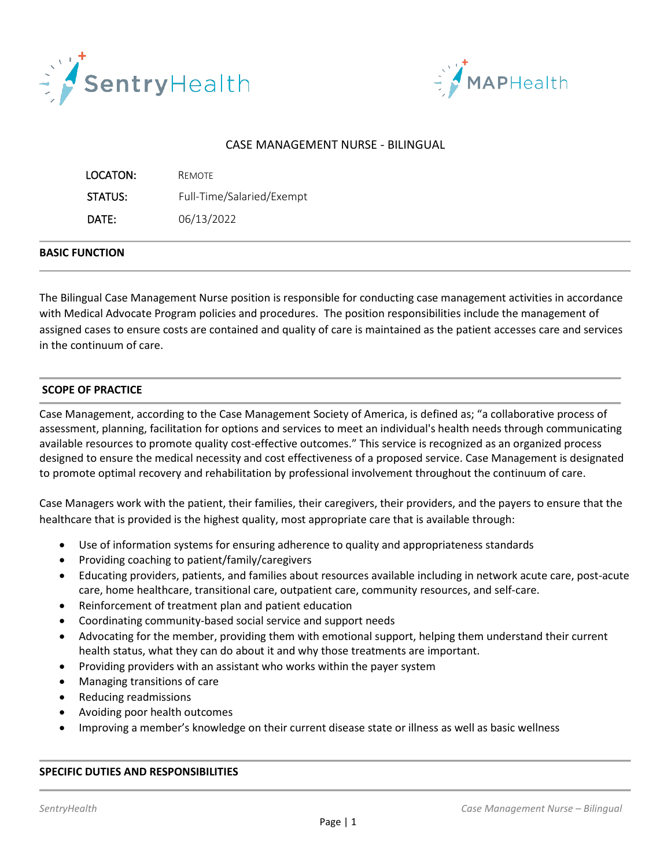



# CASE MANAGEMENT NURSE - BILINGUAL

| LOCATON: | REMOTE                    |
|----------|---------------------------|
| STATUS:  | Full-Time/Salaried/Exempt |
| DATE:    | 06/13/2022                |

### **BASIC FUNCTION**

The Bilingual Case Management Nurse position is responsible for conducting case management activities in accordance with Medical Advocate Program policies and procedures. The position responsibilities include the management of assigned cases to ensure costs are contained and quality of care is maintained as the patient accesses care and services in the continuum of care.

## **SCOPE OF PRACTICE**

Case Management, according to the Case Management Society of America, is defined as; "a collaborative process of assessment, planning, facilitation for options and services to meet an individual's health needs through communicating available resources to promote quality cost-effective outcomes." This service is recognized as an organized process designed to ensure the medical necessity and cost effectiveness of a proposed service. Case Management is designated to promote optimal recovery and rehabilitation by professional involvement throughout the continuum of care.

Case Managers work with the patient, their families, their caregivers, their providers, and the payers to ensure that the healthcare that is provided is the highest quality, most appropriate care that is available through:

- Use of information systems for ensuring adherence to quality and appropriateness standards
- Providing coaching to patient/family/caregivers
- Educating providers, patients, and families about resources available including in network acute care, post-acute care, home healthcare, transitional care, outpatient care, community resources, and self-care.
- Reinforcement of treatment plan and patient education
- Coordinating community-based social service and support needs
- Advocating for the member, providing them with emotional support, helping them understand their current health status, what they can do about it and why those treatments are important.
- Providing providers with an assistant who works within the payer system
- Managing transitions of care
- Reducing readmissions
- Avoiding poor health outcomes
- Improving a member's knowledge on their current disease state or illness as well as basic wellness

### **SPECIFIC DUTIES AND RESPONSIBILITIES**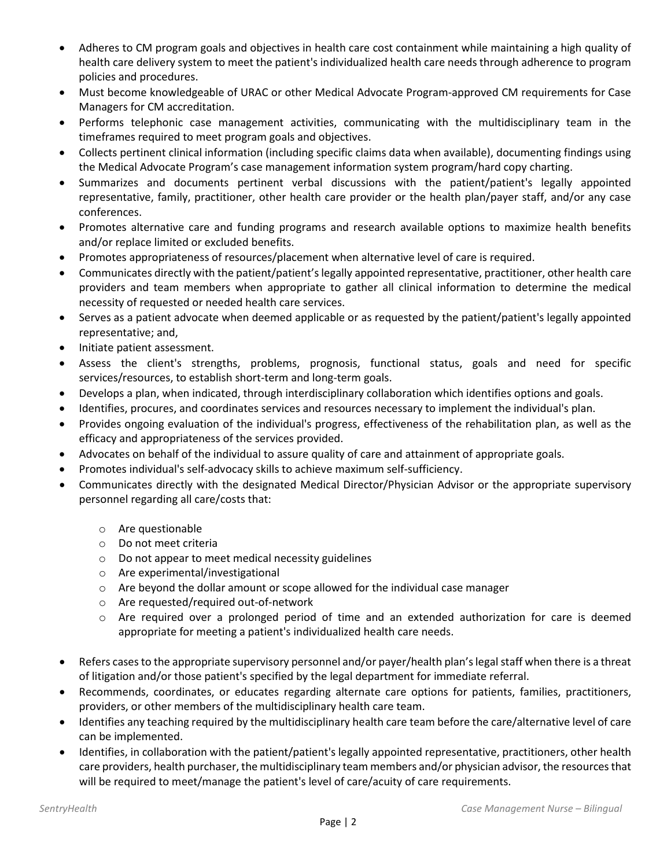- Adheres to CM program goals and objectives in health care cost containment while maintaining a high quality of health care delivery system to meet the patient's individualized health care needs through adherence to program policies and procedures.
- Must become knowledgeable of URAC or other Medical Advocate Program-approved CM requirements for Case Managers for CM accreditation.
- Performs telephonic case management activities, communicating with the multidisciplinary team in the timeframes required to meet program goals and objectives.
- Collects pertinent clinical information (including specific claims data when available), documenting findings using the Medical Advocate Program's case management information system program/hard copy charting.
- Summarizes and documents pertinent verbal discussions with the patient/patient's legally appointed representative, family, practitioner, other health care provider or the health plan/payer staff, and/or any case conferences.
- Promotes alternative care and funding programs and research available options to maximize health benefits and/or replace limited or excluded benefits.
- Promotes appropriateness of resources/placement when alternative level of care is required.
- Communicates directly with the patient/patient's legally appointed representative, practitioner, other health care providers and team members when appropriate to gather all clinical information to determine the medical necessity of requested or needed health care services.
- Serves as a patient advocate when deemed applicable or as requested by the patient/patient's legally appointed representative; and,
- Initiate patient assessment.
- Assess the client's strengths, problems, prognosis, functional status, goals and need for specific services/resources, to establish short-term and long-term goals.
- Develops a plan, when indicated, through interdisciplinary collaboration which identifies options and goals.
- Identifies, procures, and coordinates services and resources necessary to implement the individual's plan.
- Provides ongoing evaluation of the individual's progress, effectiveness of the rehabilitation plan, as well as the efficacy and appropriateness of the services provided.
- Advocates on behalf of the individual to assure quality of care and attainment of appropriate goals.
- Promotes individual's self-advocacy skills to achieve maximum self-sufficiency.
- Communicates directly with the designated Medical Director/Physician Advisor or the appropriate supervisory personnel regarding all care/costs that:
	- o Are questionable
	- o Do not meet criteria
	- o Do not appear to meet medical necessity guidelines
	- o Are experimental/investigational
	- $\circ$  Are beyond the dollar amount or scope allowed for the individual case manager
	- o Are requested/required out-of-network
	- o Are required over a prolonged period of time and an extended authorization for care is deemed appropriate for meeting a patient's individualized health care needs.
- Refers cases to the appropriate supervisory personnel and/or payer/health plan's legal staff when there is a threat of litigation and/or those patient's specified by the legal department for immediate referral.
- Recommends, coordinates, or educates regarding alternate care options for patients, families, practitioners, providers, or other members of the multidisciplinary health care team.
- Identifies any teaching required by the multidisciplinary health care team before the care/alternative level of care can be implemented.
- Identifies, in collaboration with the patient/patient's legally appointed representative, practitioners, other health care providers, health purchaser, the multidisciplinary team members and/or physician advisor, the resources that will be required to meet/manage the patient's level of care/acuity of care requirements.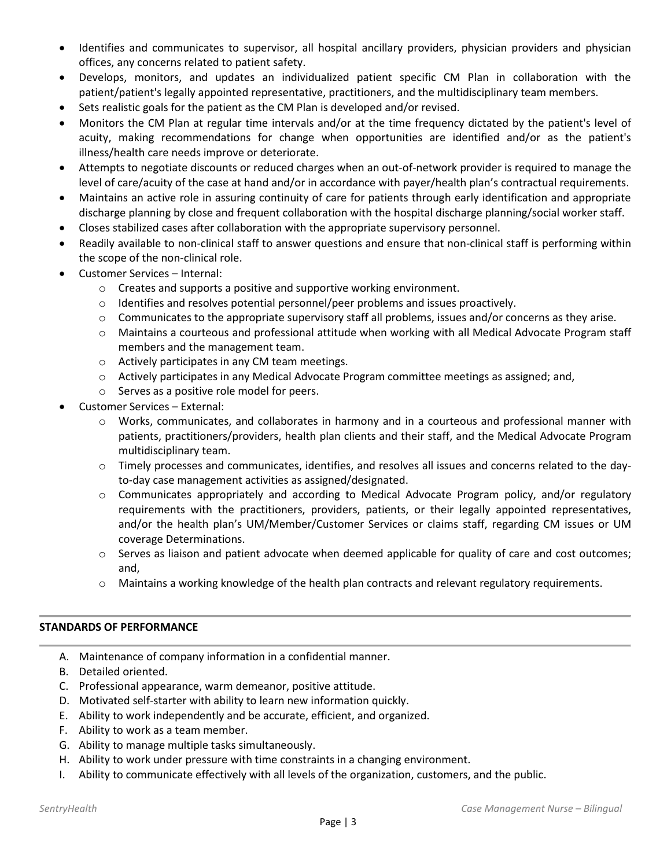- Identifies and communicates to supervisor, all hospital ancillary providers, physician providers and physician offices, any concerns related to patient safety.
- Develops, monitors, and updates an individualized patient specific CM Plan in collaboration with the patient/patient's legally appointed representative, practitioners, and the multidisciplinary team members.
- Sets realistic goals for the patient as the CM Plan is developed and/or revised.
- Monitors the CM Plan at regular time intervals and/or at the time frequency dictated by the patient's level of acuity, making recommendations for change when opportunities are identified and/or as the patient's illness/health care needs improve or deteriorate.
- Attempts to negotiate discounts or reduced charges when an out-of-network provider is required to manage the level of care/acuity of the case at hand and/or in accordance with payer/health plan's contractual requirements.
- Maintains an active role in assuring continuity of care for patients through early identification and appropriate discharge planning by close and frequent collaboration with the hospital discharge planning/social worker staff.
- Closes stabilized cases after collaboration with the appropriate supervisory personnel.
- Readily available to non-clinical staff to answer questions and ensure that non-clinical staff is performing within the scope of the non-clinical role.
- Customer Services Internal:
	- o Creates and supports a positive and supportive working environment.
	- $\circ$  Identifies and resolves potential personnel/peer problems and issues proactively.
	- $\circ$  Communicates to the appropriate supervisory staff all problems, issues and/or concerns as they arise.
	- o Maintains a courteous and professional attitude when working with all Medical Advocate Program staff members and the management team.
	- o Actively participates in any CM team meetings.
	- o Actively participates in any Medical Advocate Program committee meetings as assigned; and,
	- o Serves as a positive role model for peers.
- Customer Services External:
	- o Works, communicates, and collaborates in harmony and in a courteous and professional manner with patients, practitioners/providers, health plan clients and their staff, and the Medical Advocate Program multidisciplinary team.
	- $\circ$  Timely processes and communicates, identifies, and resolves all issues and concerns related to the dayto-day case management activities as assigned/designated.
	- $\circ$  Communicates appropriately and according to Medical Advocate Program policy, and/or regulatory requirements with the practitioners, providers, patients, or their legally appointed representatives, and/or the health plan's UM/Member/Customer Services or claims staff, regarding CM issues or UM coverage Determinations.
	- $\circ$  Serves as liaison and patient advocate when deemed applicable for quality of care and cost outcomes; and,
	- o Maintains a working knowledge of the health plan contracts and relevant regulatory requirements.

# **STANDARDS OF PERFORMANCE**

- A. Maintenance of company information in a confidential manner.
- B. Detailed oriented.
- C. Professional appearance, warm demeanor, positive attitude.
- D. Motivated self-starter with ability to learn new information quickly.
- E. Ability to work independently and be accurate, efficient, and organized.
- F. Ability to work as a team member.
- G. Ability to manage multiple tasks simultaneously.
- H. Ability to work under pressure with time constraints in a changing environment.
- I. Ability to communicate effectively with all levels of the organization, customers, and the public.